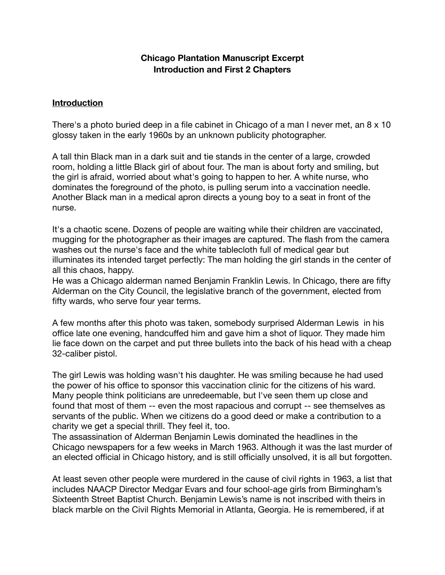## **Chicago Plantation Manuscript Excerpt Introduction and First 2 Chapters**

## **Introduction**

There's a photo buried deep in a file cabinet in Chicago of a man I never met, an 8 x 10 glossy taken in the early 1960s by an unknown publicity photographer.

A tall thin Black man in a dark suit and tie stands in the center of a large, crowded room, holding a little Black girl of about four. The man is about forty and smiling, but the girl is afraid, worried about what's going to happen to her. A white nurse, who dominates the foreground of the photo, is pulling serum into a vaccination needle. Another Black man in a medical apron directs a young boy to a seat in front of the nurse.

It's a chaotic scene. Dozens of people are waiting while their children are vaccinated, mugging for the photographer as their images are captured. The flash from the camera washes out the nurse's face and the white tablecloth full of medical gear but illuminates its intended target perfectly: The man holding the girl stands in the center of all this chaos, happy.

He was a Chicago alderman named Benjamin Franklin Lewis. In Chicago, there are fifty Alderman on the City Council, the legislative branch of the government, elected from fifty wards, who serve four year terms.

A few months after this photo was taken, somebody surprised Alderman Lewis in his office late one evening, handcuffed him and gave him a shot of liquor. They made him lie face down on the carpet and put three bullets into the back of his head with a cheap 32-caliber pistol.

The girl Lewis was holding wasn't his daughter. He was smiling because he had used the power of his office to sponsor this vaccination clinic for the citizens of his ward. Many people think politicians are unredeemable, but I've seen them up close and found that most of them -- even the most rapacious and corrupt -- see themselves as servants of the public. When we citizens do a good deed or make a contribution to a charity we get a special thrill. They feel it, too.

The assassination of Alderman Benjamin Lewis dominated the headlines in the Chicago newspapers for a few weeks in March 1963. Although it was the last murder of an elected official in Chicago history, and is still officially unsolved, it is all but forgotten.

At least seven other people were murdered in the cause of civil rights in 1963, a list that includes NAACP Director Medgar Evars and four school-age girls from Birmingham's Sixteenth Street Baptist Church. Benjamin Lewis's name is not inscribed with theirs in black marble on the Civil Rights Memorial in Atlanta, Georgia. He is remembered, if at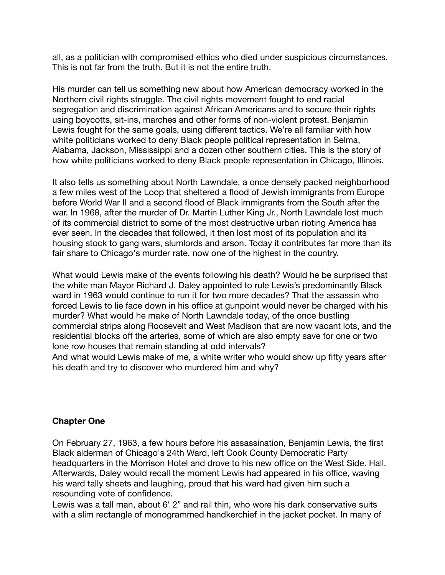all, as a politician with compromised ethics who died under suspicious circumstances. This is not far from the truth. But it is not the entire truth.

His murder can tell us something new about how American democracy worked in the Northern civil rights struggle. The civil rights movement fought to end racial segregation and discrimination against African Americans and to secure their rights using boycotts, sit-ins, marches and other forms of non-violent protest. Benjamin Lewis fought for the same goals, using different tactics. We're all familiar with how white politicians worked to deny Black people political representation in Selma, Alabama, Jackson, Mississippi and a dozen other southern cities. This is the story of how white politicians worked to deny Black people representation in Chicago, Illinois.

It also tells us something about North Lawndale, a once densely packed neighborhood a few miles west of the Loop that sheltered a flood of Jewish immigrants from Europe before World War II and a second flood of Black immigrants from the South after the war. In 1968, after the murder of Dr. Martin Luther King Jr., North Lawndale lost much of its commercial district to some of the most destructive urban rioting America has ever seen. In the decades that followed, it then lost most of its population and its housing stock to gang wars, slumlords and arson. Today it contributes far more than its fair share to Chicago's murder rate, now one of the highest in the country.

What would Lewis make of the events following his death? Would he be surprised that the white man Mayor Richard J. Daley appointed to rule Lewis's predominantly Black ward in 1963 would continue to run it for two more decades? That the assassin who forced Lewis to lie face down in his office at gunpoint would never be charged with his murder? What would he make of North Lawndale today, of the once bustling commercial strips along Roosevelt and West Madison that are now vacant lots, and the residential blocks off the arteries, some of which are also empty save for one or two lone row houses that remain standing at odd intervals?

And what would Lewis make of me, a white writer who would show up fifty years after his death and try to discover who murdered him and why?

## **Chapter One**

On February 27, 1963, a few hours before his assassination, Benjamin Lewis, the first Black alderman of Chicago's 24th Ward, left Cook County Democratic Party headquarters in the Morrison Hotel and drove to his new office on the West Side. Hall. Afterwards, Daley would recall the moment Lewis had appeared in his office, waving his ward tally sheets and laughing, proud that his ward had given him such a resounding vote of confidence.

Lewis was a tall man, about 6' 2" and rail thin, who wore his dark conservative suits with a slim rectangle of monogrammed handkerchief in the jacket pocket. In many of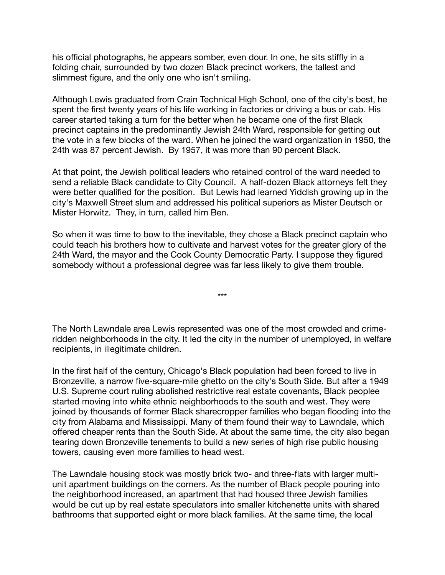his official photographs, he appears somber, even dour. In one, he sits stiffly in a folding chair, surrounded by two dozen Black precinct workers, the tallest and slimmest figure, and the only one who isn't smiling.

Although Lewis graduated from Crain Technical High School, one of the city's best, he spent the first twenty years of his life working in factories or driving a bus or cab. His career started taking a turn for the better when he became one of the first Black precinct captains in the predominantly Jewish 24th Ward, responsible for getting out the vote in a few blocks of the ward. When he joined the ward organization in 1950, the 24th was 87 percent Jewish. By 1957, it was more than 90 percent Black.

At that point, the Jewish political leaders who retained control of the ward needed to send a reliable Black candidate to City Council. A half-dozen Black attorneys felt they were better qualified for the position. But Lewis had learned Yiddish growing up in the city's Maxwell Street slum and addressed his political superiors as Mister Deutsch or Mister Horwitz. They, in turn, called him Ben.

So when it was time to bow to the inevitable, they chose a Black precinct captain who could teach his brothers how to cultivate and harvest votes for the greater glory of the 24th Ward, the mayor and the Cook County Democratic Party. I suppose they figured somebody without a professional degree was far less likely to give them trouble.

The North Lawndale area Lewis represented was one of the most crowded and crimeridden neighborhoods in the city. It led the city in the number of unemployed, in welfare recipients, in illegitimate children.

\*\*\*

In the first half of the century, Chicago's Black population had been forced to live in Bronzeville, a narrow five-square-mile ghetto on the city's South Side. But after a 1949 U.S. Supreme court ruling abolished restrictive real estate covenants, Black peoplee started moving into white ethnic neighborhoods to the south and west. They were joined by thousands of former Black sharecropper families who began flooding into the city from Alabama and Mississippi. Many of them found their way to Lawndale, which offered cheaper rents than the South Side. At about the same time, the city also began tearing down Bronzeville tenements to build a new series of high rise public housing towers, causing even more families to head west.

The Lawndale housing stock was mostly brick two- and three-flats with larger multiunit apartment buildings on the corners. As the number of Black people pouring into the neighborhood increased, an apartment that had housed three Jewish families would be cut up by real estate speculators into smaller kitchenette units with shared bathrooms that supported eight or more black families. At the same time, the local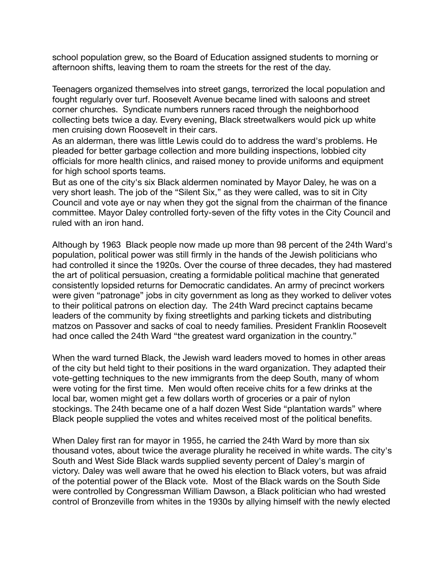school population grew, so the Board of Education assigned students to morning or afternoon shifts, leaving them to roam the streets for the rest of the day.

Teenagers organized themselves into street gangs, terrorized the local population and fought regularly over turf. Roosevelt Avenue became lined with saloons and street corner churches. Syndicate numbers runners raced through the neighborhood collecting bets twice a day. Every evening, Black streetwalkers would pick up white men cruising down Roosevelt in their cars.

As an alderman, there was little Lewis could do to address the ward's problems. He pleaded for better garbage collection and more building inspections, lobbied city officials for more health clinics, and raised money to provide uniforms and equipment for high school sports teams.

But as one of the city's six Black aldermen nominated by Mayor Daley, he was on a very short leash. The job of the "Silent Six," as they were called, was to sit in City Council and vote aye or nay when they got the signal from the chairman of the finance committee. Mayor Daley controlled forty-seven of the fifty votes in the City Council and ruled with an iron hand.

Although by 1963 Black people now made up more than 98 percent of the 24th Ward's population, political power was still firmly in the hands of the Jewish politicians who had controlled it since the 1920s. Over the course of three decades, they had mastered the art of political persuasion, creating a formidable political machine that generated consistently lopsided returns for Democratic candidates. An army of precinct workers were given "patronage" jobs in city government as long as they worked to deliver votes to their political patrons on election day. The 24th Ward precinct captains became leaders of the community by fixing streetlights and parking tickets and distributing matzos on Passover and sacks of coal to needy families. President Franklin Roosevelt had once called the 24th Ward "the greatest ward organization in the country."

When the ward turned Black, the Jewish ward leaders moved to homes in other areas of the city but held tight to their positions in the ward organization. They adapted their vote-getting techniques to the new immigrants from the deep South, many of whom were voting for the first time. Men would often receive chits for a few drinks at the local bar, women might get a few dollars worth of groceries or a pair of nylon stockings. The 24th became one of a half dozen West Side "plantation wards" where Black people supplied the votes and whites received most of the political benefits.

When Daley first ran for mayor in 1955, he carried the 24th Ward by more than six thousand votes, about twice the average plurality he received in white wards. The city's South and West Side Black wards supplied seventy percent of Daley's margin of victory. Daley was well aware that he owed his election to Black voters, but was afraid of the potential power of the Black vote. Most of the Black wards on the South Side were controlled by Congressman William Dawson, a Black politician who had wrested control of Bronzeville from whites in the 1930s by allying himself with the newly elected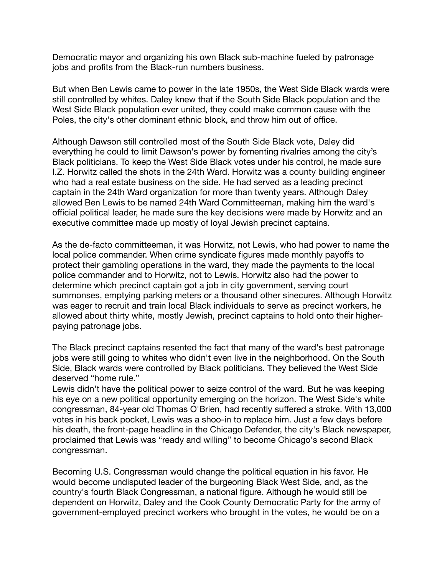Democratic mayor and organizing his own Black sub-machine fueled by patronage jobs and profits from the Black-run numbers business.

But when Ben Lewis came to power in the late 1950s, the West Side Black wards were still controlled by whites. Daley knew that if the South Side Black population and the West Side Black population ever united, they could make common cause with the Poles, the city's other dominant ethnic block, and throw him out of office.

Although Dawson still controlled most of the South Side Black vote, Daley did everything he could to limit Dawson's power by fomenting rivalries among the city's Black politicians. To keep the West Side Black votes under his control, he made sure I.Z. Horwitz called the shots in the 24th Ward. Horwitz was a county building engineer who had a real estate business on the side. He had served as a leading precinct captain in the 24th Ward organization for more than twenty years. Although Daley allowed Ben Lewis to be named 24th Ward Committeeman, making him the ward's official political leader, he made sure the key decisions were made by Horwitz and an executive committee made up mostly of loyal Jewish precinct captains.

As the de-facto committeeman, it was Horwitz, not Lewis, who had power to name the local police commander. When crime syndicate figures made monthly payoffs to protect their gambling operations in the ward, they made the payments to the local police commander and to Horwitz, not to Lewis. Horwitz also had the power to determine which precinct captain got a job in city government, serving court summonses, emptying parking meters or a thousand other sinecures. Although Horwitz was eager to recruit and train local Black individuals to serve as precinct workers, he allowed about thirty white, mostly Jewish, precinct captains to hold onto their higherpaying patronage jobs.

The Black precinct captains resented the fact that many of the ward's best patronage jobs were still going to whites who didn't even live in the neighborhood. On the South Side, Black wards were controlled by Black politicians. They believed the West Side deserved "home rule."

Lewis didn't have the political power to seize control of the ward. But he was keeping his eye on a new political opportunity emerging on the horizon. The West Side's white congressman, 84-year old Thomas O'Brien, had recently suffered a stroke. With 13,000 votes in his back pocket, Lewis was a shoo-in to replace him. Just a few days before his death, the front-page headline in the Chicago Defender, the city's Black newspaper, proclaimed that Lewis was "ready and willing" to become Chicago's second Black congressman.

Becoming U.S. Congressman would change the political equation in his favor. He would become undisputed leader of the burgeoning Black West Side, and, as the country's fourth Black Congressman, a national figure. Although he would still be dependent on Horwitz, Daley and the Cook County Democratic Party for the army of government-employed precinct workers who brought in the votes, he would be on a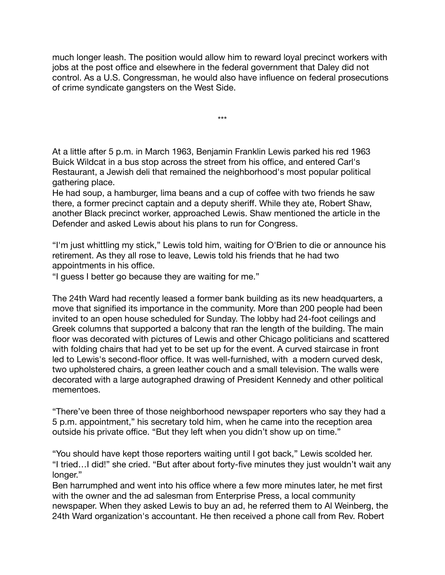much longer leash. The position would allow him to reward loyal precinct workers with jobs at the post office and elsewhere in the federal government that Daley did not control. As a U.S. Congressman, he would also have influence on federal prosecutions of crime syndicate gangsters on the West Side.

\*\*\*

At a little after 5 p.m. in March 1963, Benjamin Franklin Lewis parked his red 1963 Buick Wildcat in a bus stop across the street from his office, and entered Carl's Restaurant, a Jewish deli that remained the neighborhood's most popular political gathering place.

He had soup, a hamburger, lima beans and a cup of coffee with two friends he saw there, a former precinct captain and a deputy sheriff. While they ate, Robert Shaw, another Black precinct worker, approached Lewis. Shaw mentioned the article in the Defender and asked Lewis about his plans to run for Congress.

"I'm just whittling my stick," Lewis told him, waiting for O'Brien to die or announce his retirement. As they all rose to leave, Lewis told his friends that he had two appointments in his office.

"I guess I better go because they are waiting for me."

The 24th Ward had recently leased a former bank building as its new headquarters, a move that signified its importance in the community. More than 200 people had been invited to an open house scheduled for Sunday. The lobby had 24-foot ceilings and Greek columns that supported a balcony that ran the length of the building. The main floor was decorated with pictures of Lewis and other Chicago politicians and scattered with folding chairs that had yet to be set up for the event. A curved staircase in front led to Lewis's second-floor office. It was well-furnished, with a modern curved desk, two upholstered chairs, a green leather couch and a small television. The walls were decorated with a large autographed drawing of President Kennedy and other political mementoes.

"There've been three of those neighborhood newspaper reporters who say they had a 5 p.m. appointment," his secretary told him, when he came into the reception area outside his private office. "But they left when you didn't show up on time."

"You should have kept those reporters waiting until I got back," Lewis scolded her. "I tried…I did!" she cried. "But after about forty-five minutes they just wouldn't wait any longer."

Ben harrumphed and went into his office where a few more minutes later, he met first with the owner and the ad salesman from Enterprise Press, a local community newspaper. When they asked Lewis to buy an ad, he referred them to Al Weinberg, the 24th Ward organization's accountant. He then received a phone call from Rev. Robert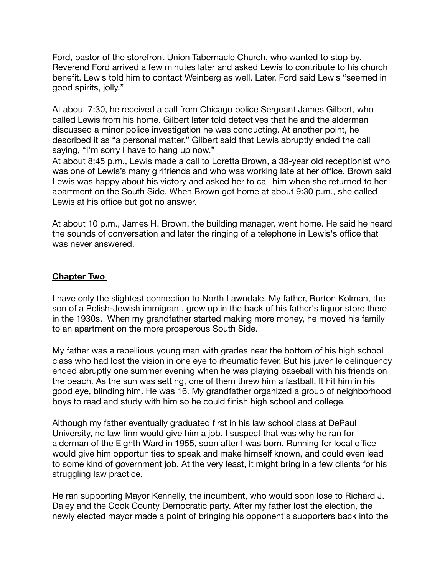Ford, pastor of the storefront Union Tabernacle Church, who wanted to stop by. Reverend Ford arrived a few minutes later and asked Lewis to contribute to his church benefit. Lewis told him to contact Weinberg as well. Later, Ford said Lewis "seemed in good spirits, jolly."

At about 7:30, he received a call from Chicago police Sergeant James Gilbert, who called Lewis from his home. Gilbert later told detectives that he and the alderman discussed a minor police investigation he was conducting. At another point, he described it as "a personal matter." Gilbert said that Lewis abruptly ended the call saying, "I'm sorry I have to hang up now."

At about 8:45 p.m., Lewis made a call to Loretta Brown, a 38-year old receptionist who was one of Lewis's many girlfriends and who was working late at her office. Brown said Lewis was happy about his victory and asked her to call him when she returned to her apartment on the South Side. When Brown got home at about 9:30 p.m., she called Lewis at his office but got no answer.

At about 10 p.m., James H. Brown, the building manager, went home. He said he heard the sounds of conversation and later the ringing of a telephone in Lewis's office that was never answered.

## **Chapter Two**

I have only the slightest connection to North Lawndale. My father, Burton Kolman, the son of a Polish-Jewish immigrant, grew up in the back of his father's liquor store there in the 1930s. When my grandfather started making more money, he moved his family to an apartment on the more prosperous South Side.

My father was a rebellious young man with grades near the bottom of his high school class who had lost the vision in one eye to rheumatic fever. But his juvenile delinquency ended abruptly one summer evening when he was playing baseball with his friends on the beach. As the sun was setting, one of them threw him a fastball. It hit him in his good eye, blinding him. He was 16. My grandfather organized a group of neighborhood boys to read and study with him so he could finish high school and college.

Although my father eventually graduated first in his law school class at DePaul University, no law firm would give him a job. I suspect that was why he ran for alderman of the Eighth Ward in 1955, soon after I was born. Running for local office would give him opportunities to speak and make himself known, and could even lead to some kind of government job. At the very least, it might bring in a few clients for his struggling law practice.

He ran supporting Mayor Kennelly, the incumbent, who would soon lose to Richard J. Daley and the Cook County Democratic party. After my father lost the election, the newly elected mayor made a point of bringing his opponent's supporters back into the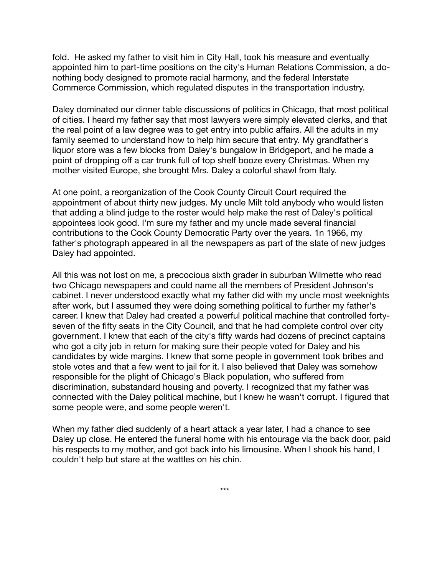fold. He asked my father to visit him in City Hall, took his measure and eventually appointed him to part-time positions on the city's Human Relations Commission, a donothing body designed to promote racial harmony, and the federal Interstate Commerce Commission, which regulated disputes in the transportation industry.

Daley dominated our dinner table discussions of politics in Chicago, that most political of cities. I heard my father say that most lawyers were simply elevated clerks, and that the real point of a law degree was to get entry into public affairs. All the adults in my family seemed to understand how to help him secure that entry. My grandfather's liquor store was a few blocks from Daley's bungalow in Bridgeport, and he made a point of dropping off a car trunk full of top shelf booze every Christmas. When my mother visited Europe, she brought Mrs. Daley a colorful shawl from Italy.

At one point, a reorganization of the Cook County Circuit Court required the appointment of about thirty new judges. My uncle Milt told anybody who would listen that adding a blind judge to the roster would help make the rest of Daley's political appointees look good. I'm sure my father and my uncle made several financial contributions to the Cook County Democratic Party over the years. 1n 1966, my father's photograph appeared in all the newspapers as part of the slate of new judges Daley had appointed.

All this was not lost on me, a precocious sixth grader in suburban Wilmette who read two Chicago newspapers and could name all the members of President Johnson's cabinet. I never understood exactly what my father did with my uncle most weeknights after work, but I assumed they were doing something political to further my father's career. I knew that Daley had created a powerful political machine that controlled fortyseven of the fifty seats in the City Council, and that he had complete control over city government. I knew that each of the city's fifty wards had dozens of precinct captains who got a city job in return for making sure their people voted for Daley and his candidates by wide margins. I knew that some people in government took bribes and stole votes and that a few went to jail for it. I also believed that Daley was somehow responsible for the plight of Chicago's Black population, who suffered from discrimination, substandard housing and poverty. I recognized that my father was connected with the Daley political machine, but I knew he wasn't corrupt. I figured that some people were, and some people weren't.

When my father died suddenly of a heart attack a year later, I had a chance to see Daley up close. He entered the funeral home with his entourage via the back door, paid his respects to my mother, and got back into his limousine. When I shook his hand, I couldn't help but stare at the wattles on his chin.

\*\*\*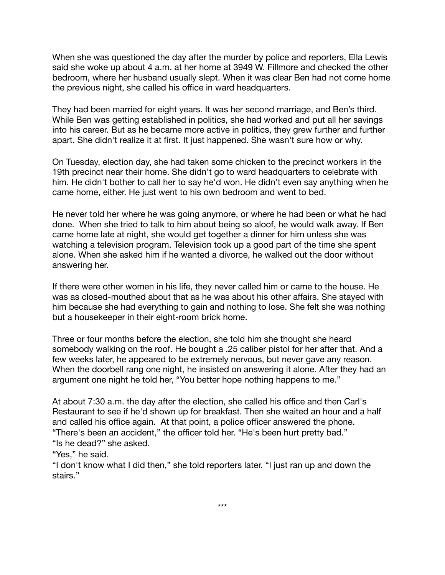When she was questioned the day after the murder by police and reporters, Ella Lewis said she woke up about 4 a.m. at her home at 3949 W. Fillmore and checked the other bedroom, where her husband usually slept. When it was clear Ben had not come home the previous night, she called his office in ward headquarters.

They had been married for eight years. It was her second marriage, and Ben's third. While Ben was getting established in politics, she had worked and put all her savings into his career. But as he became more active in politics, they grew further and further apart. She didn't realize it at first. It just happened. She wasn't sure how or why.

On Tuesday, election day, she had taken some chicken to the precinct workers in the 19th precinct near their home. She didn't go to ward headquarters to celebrate with him. He didn't bother to call her to say he'd won. He didn't even say anything when he came home, either. He just went to his own bedroom and went to bed.

He never told her where he was going anymore, or where he had been or what he had done. When she tried to talk to him about being so aloof, he would walk away. If Ben came home late at night, she would get together a dinner for him unless she was watching a television program. Television took up a good part of the time she spent alone. When she asked him if he wanted a divorce, he walked out the door without answering her.

If there were other women in his life, they never called him or came to the house. He was as closed-mouthed about that as he was about his other affairs. She stayed with him because she had everything to gain and nothing to lose. She felt she was nothing but a housekeeper in their eight-room brick home.

Three or four months before the election, she told him she thought she heard somebody walking on the roof. He bought a .25 caliber pistol for her after that. And a few weeks later, he appeared to be extremely nervous, but never gave any reason. When the doorbell rang one night, he insisted on answering it alone. After they had an argument one night he told her, "You better hope nothing happens to me."

At about 7:30 a.m. the day after the election, she called his office and then Carl's Restaurant to see if he'd shown up for breakfast. Then she waited an hour and a half and called his office again. At that point, a police officer answered the phone. "There's been an accident," the officer told her. "He's been hurt pretty bad." "Is he dead?" she asked.

"Yes," he said.

"I don't know what I did then," she told reporters later. "I just ran up and down the stairs."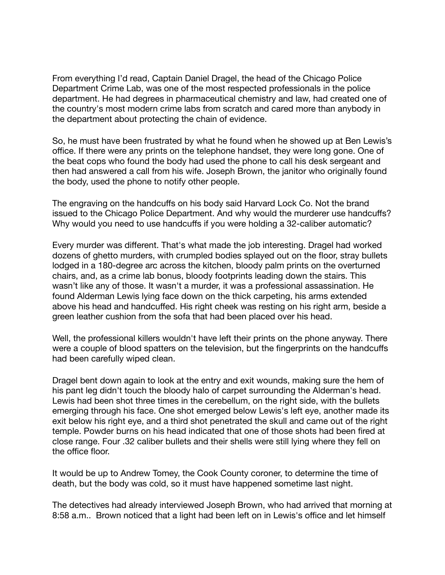From everything I'd read, Captain Daniel Dragel, the head of the Chicago Police Department Crime Lab, was one of the most respected professionals in the police department. He had degrees in pharmaceutical chemistry and law, had created one of the country's most modern crime labs from scratch and cared more than anybody in the department about protecting the chain of evidence.

So, he must have been frustrated by what he found when he showed up at Ben Lewis's office. If there were any prints on the telephone handset, they were long gone. One of the beat cops who found the body had used the phone to call his desk sergeant and then had answered a call from his wife. Joseph Brown, the janitor who originally found the body, used the phone to notify other people.

The engraving on the handcuffs on his body said Harvard Lock Co. Not the brand issued to the Chicago Police Department. And why would the murderer use handcuffs? Why would you need to use handcuffs if you were holding a 32-caliber automatic?

Every murder was different. That's what made the job interesting. Dragel had worked dozens of ghetto murders, with crumpled bodies splayed out on the floor, stray bullets lodged in a 180-degree arc across the kitchen, bloody palm prints on the overturned chairs, and, as a crime lab bonus, bloody footprints leading down the stairs. This wasn't like any of those. It wasn't a murder, it was a professional assassination. He found Alderman Lewis lying face down on the thick carpeting, his arms extended above his head and handcuffed. His right cheek was resting on his right arm, beside a green leather cushion from the sofa that had been placed over his head.

Well, the professional killers wouldn't have left their prints on the phone anyway. There were a couple of blood spatters on the television, but the fingerprints on the handcuffs had been carefully wiped clean.

Dragel bent down again to look at the entry and exit wounds, making sure the hem of his pant leg didn't touch the bloody halo of carpet surrounding the Alderman's head. Lewis had been shot three times in the cerebellum, on the right side, with the bullets emerging through his face. One shot emerged below Lewis's left eye, another made its exit below his right eye, and a third shot penetrated the skull and came out of the right temple. Powder burns on his head indicated that one of those shots had been fired at close range. Four .32 caliber bullets and their shells were still lying where they fell on the office floor.

It would be up to Andrew Tomey, the Cook County coroner, to determine the time of death, but the body was cold, so it must have happened sometime last night.

The detectives had already interviewed Joseph Brown, who had arrived that morning at 8:58 a.m.. Brown noticed that a light had been left on in Lewis's office and let himself